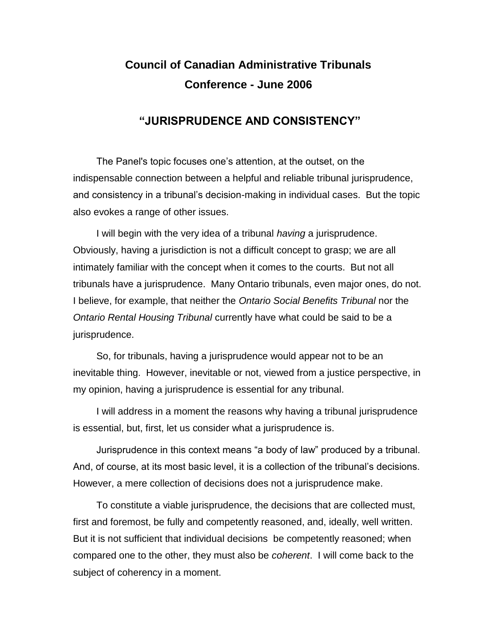## **Council of Canadian Administrative Tribunals Conference - June 2006**

## **"JURISPRUDENCE AND CONSISTENCY"**

The Panel's topic focuses one's attention, at the outset, on the indispensable connection between a helpful and reliable tribunal jurisprudence, and consistency in a tribunal's decision-making in individual cases. But the topic also evokes a range of other issues.

I will begin with the very idea of a tribunal *having* a jurisprudence. Obviously, having a jurisdiction is not a difficult concept to grasp; we are all intimately familiar with the concept when it comes to the courts. But not all tribunals have a jurisprudence. Many Ontario tribunals, even major ones, do not. I believe, for example, that neither the *Ontario Social Benefits Tribunal* nor the *Ontario Rental Housing Tribunal* currently have what could be said to be a jurisprudence.

So, for tribunals, having a jurisprudence would appear not to be an inevitable thing. However, inevitable or not, viewed from a justice perspective, in my opinion, having a jurisprudence is essential for any tribunal.

I will address in a moment the reasons why having a tribunal jurisprudence is essential, but, first, let us consider what a jurisprudence is.

Jurisprudence in this context means "a body of law" produced by a tribunal. And, of course, at its most basic level, it is a collection of the tribunal's decisions. However, a mere collection of decisions does not a jurisprudence make.

To constitute a viable jurisprudence, the decisions that are collected must, first and foremost, be fully and competently reasoned, and, ideally, well written. But it is not sufficient that individual decisions be competently reasoned; when compared one to the other, they must also be *coherent*. I will come back to the subject of coherency in a moment.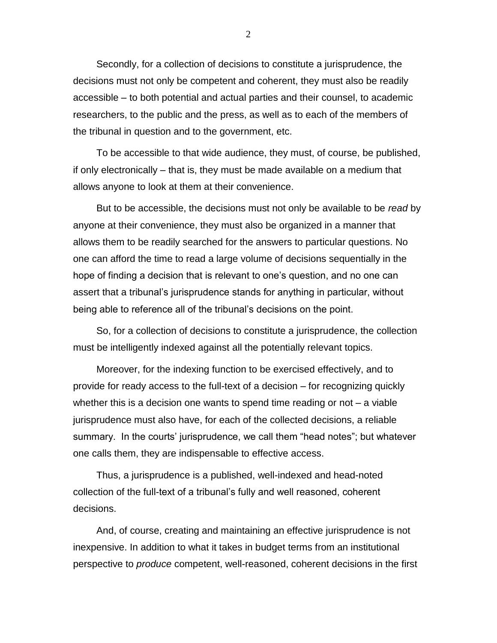Secondly, for a collection of decisions to constitute a jurisprudence, the decisions must not only be competent and coherent, they must also be readily accessible – to both potential and actual parties and their counsel, to academic researchers, to the public and the press, as well as to each of the members of the tribunal in question and to the government, etc.

To be accessible to that wide audience, they must, of course, be published, if only electronically – that is, they must be made available on a medium that allows anyone to look at them at their convenience.

But to be accessible, the decisions must not only be available to be *read* by anyone at their convenience, they must also be organized in a manner that allows them to be readily searched for the answers to particular questions. No one can afford the time to read a large volume of decisions sequentially in the hope of finding a decision that is relevant to one's question, and no one can assert that a tribunal's jurisprudence stands for anything in particular, without being able to reference all of the tribunal's decisions on the point.

So, for a collection of decisions to constitute a jurisprudence, the collection must be intelligently indexed against all the potentially relevant topics.

Moreover, for the indexing function to be exercised effectively, and to provide for ready access to the full-text of a decision – for recognizing quickly whether this is a decision one wants to spend time reading or not – a viable jurisprudence must also have, for each of the collected decisions, a reliable summary. In the courts' jurisprudence, we call them "head notes"; but whatever one calls them, they are indispensable to effective access.

Thus, a jurisprudence is a published, well-indexed and head-noted collection of the full-text of a tribunal's fully and well reasoned, coherent decisions.

And, of course, creating and maintaining an effective jurisprudence is not inexpensive. In addition to what it takes in budget terms from an institutional perspective to *produce* competent, well-reasoned, coherent decisions in the first

2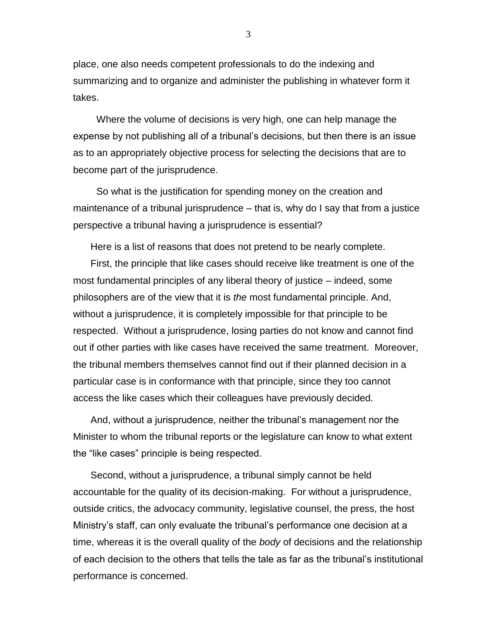place, one also needs competent professionals to do the indexing and summarizing and to organize and administer the publishing in whatever form it takes.

Where the volume of decisions is very high, one can help manage the expense by not publishing all of a tribunal's decisions, but then there is an issue as to an appropriately objective process for selecting the decisions that are to become part of the jurisprudence.

So what is the justification for spending money on the creation and maintenance of a tribunal jurisprudence – that is, why do I say that from a justice perspective a tribunal having a jurisprudence is essential?

Here is a list of reasons that does not pretend to be nearly complete.

First, the principle that like cases should receive like treatment is one of the most fundamental principles of any liberal theory of justice – indeed, some philosophers are of the view that it is *the* most fundamental principle. And, without a jurisprudence, it is completely impossible for that principle to be respected. Without a jurisprudence, losing parties do not know and cannot find out if other parties with like cases have received the same treatment. Moreover, the tribunal members themselves cannot find out if their planned decision in a particular case is in conformance with that principle, since they too cannot access the like cases which their colleagues have previously decided.

And, without a jurisprudence, neither the tribunal's management nor the Minister to whom the tribunal reports or the legislature can know to what extent the "like cases" principle is being respected.

Second, without a jurisprudence, a tribunal simply cannot be held accountable for the quality of its decision-making. For without a jurisprudence, outside critics, the advocacy community, legislative counsel, the press, the host Ministry's staff, can only evaluate the tribunal's performance one decision at a time, whereas it is the overall quality of the *body* of decisions and the relationship of each decision to the others that tells the tale as far as the tribunal's institutional performance is concerned.

3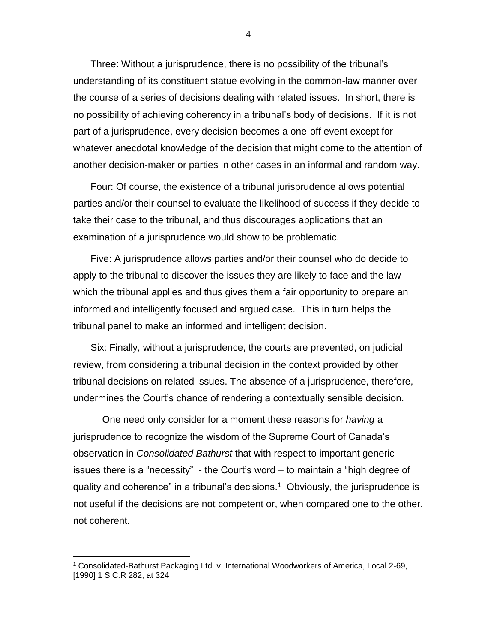Three: Without a jurisprudence, there is no possibility of the tribunal's understanding of its constituent statue evolving in the common-law manner over the course of a series of decisions dealing with related issues. In short, there is no possibility of achieving coherency in a tribunal's body of decisions. If it is not part of a jurisprudence, every decision becomes a one-off event except for whatever anecdotal knowledge of the decision that might come to the attention of another decision-maker or parties in other cases in an informal and random way.

Four: Of course, the existence of a tribunal jurisprudence allows potential parties and/or their counsel to evaluate the likelihood of success if they decide to take their case to the tribunal, and thus discourages applications that an examination of a jurisprudence would show to be problematic.

Five: A jurisprudence allows parties and/or their counsel who do decide to apply to the tribunal to discover the issues they are likely to face and the law which the tribunal applies and thus gives them a fair opportunity to prepare an informed and intelligently focused and argued case. This in turn helps the tribunal panel to make an informed and intelligent decision.

Six: Finally, without a jurisprudence, the courts are prevented, on judicial review, from considering a tribunal decision in the context provided by other tribunal decisions on related issues. The absence of a jurisprudence, therefore, undermines the Court's chance of rendering a contextually sensible decision.

One need only consider for a moment these reasons for *having* a jurisprudence to recognize the wisdom of the Supreme Court of Canada's observation in *Consolidated Bathurst* that with respect to important generic issues there is a "necessity" - the Court's word – to maintain a "high degree of quality and coherence" in a tribunal's decisions.<sup>1</sup> Obviously, the jurisprudence is not useful if the decisions are not competent or, when compared one to the other, not coherent.

 $\overline{a}$ 

<sup>1</sup> Consolidated-Bathurst Packaging Ltd. v. International Woodworkers of America, Local 2-69, [1990] 1 S.C.R 282, at 324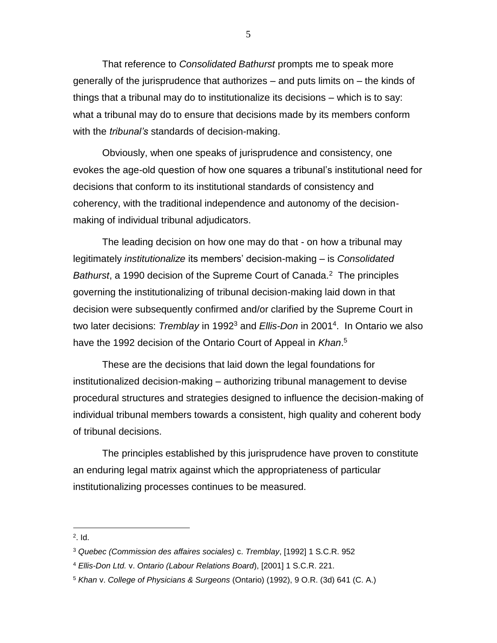That reference to *Consolidated Bathurst* prompts me to speak more generally of the jurisprudence that authorizes – and puts limits on – the kinds of things that a tribunal may do to institutionalize its decisions – which is to say: what a tribunal may do to ensure that decisions made by its members conform with the *tribunal's* standards of decision-making.

Obviously, when one speaks of jurisprudence and consistency, one evokes the age-old question of how one squares a tribunal's institutional need for decisions that conform to its institutional standards of consistency and coherency, with the traditional independence and autonomy of the decisionmaking of individual tribunal adjudicators.

The leading decision on how one may do that - on how a tribunal may legitimately *institutionalize* its members' decision-making – is *Consolidated*  Bathurst, a 1990 decision of the Supreme Court of Canada.<sup>2</sup> The principles governing the institutionalizing of tribunal decision-making laid down in that decision were subsequently confirmed and/or clarified by the Supreme Court in two later decisions: *Tremblay* in 1992<sup>3</sup> and *Ellis-Don* in 2001<sup>4</sup> . In Ontario we also have the 1992 decision of the Ontario Court of Appeal in *Khan*. 5

These are the decisions that laid down the legal foundations for institutionalized decision-making – authorizing tribunal management to devise procedural structures and strategies designed to influence the decision-making of individual tribunal members towards a consistent, high quality and coherent body of tribunal decisions.

The principles established by this jurisprudence have proven to constitute an enduring legal matrix against which the appropriateness of particular institutionalizing processes continues to be measured.

 $\overline{a}$ 

<sup>2</sup> . Id.

<sup>3</sup> *Quebec (Commission des affaires sociales)* c. *Tremblay*, [1992] 1 S.C.R. 952

<sup>4</sup> *Ellis-Don Ltd.* v. *Ontario (Labour Relations Board*), [2001] 1 S.C.R. 221.

<sup>5</sup> *Khan* v. *College of Physicians & Surgeons* (Ontario) (1992), 9 O.R. (3d) 641 (C. A.)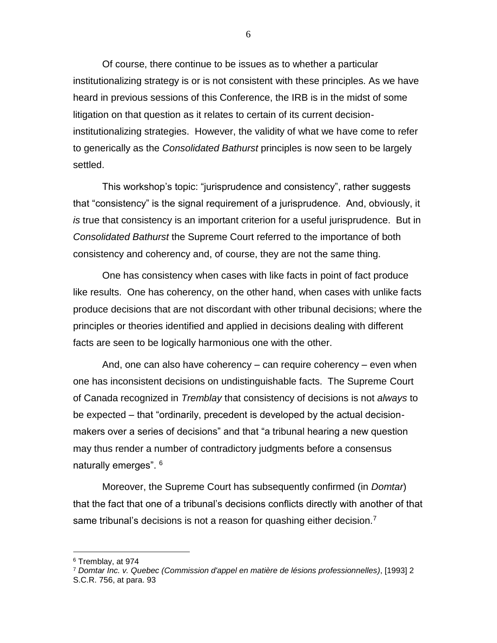Of course, there continue to be issues as to whether a particular institutionalizing strategy is or is not consistent with these principles. As we have heard in previous sessions of this Conference, the IRB is in the midst of some litigation on that question as it relates to certain of its current decisioninstitutionalizing strategies. However, the validity of what we have come to refer to generically as the *Consolidated Bathurst* principles is now seen to be largely settled.

This workshop's topic: "jurisprudence and consistency", rather suggests that "consistency" is the signal requirement of a jurisprudence. And, obviously, it *is* true that consistency is an important criterion for a useful jurisprudence. But in *Consolidated Bathurst* the Supreme Court referred to the importance of both consistency and coherency and, of course, they are not the same thing.

One has consistency when cases with like facts in point of fact produce like results. One has coherency, on the other hand, when cases with unlike facts produce decisions that are not discordant with other tribunal decisions; where the principles or theories identified and applied in decisions dealing with different facts are seen to be logically harmonious one with the other.

And, one can also have coherency – can require coherency – even when one has inconsistent decisions on undistinguishable facts. The Supreme Court of Canada recognized in *Tremblay* that consistency of decisions is not *always* to be expected – that "ordinarily, precedent is developed by the actual decisionmakers over a series of decisions" and that "a tribunal hearing a new question may thus render a number of contradictory judgments before a consensus naturally emerges". <sup>6</sup>

Moreover, the Supreme Court has subsequently confirmed (in *Domtar*) that the fact that one of a tribunal's decisions conflicts directly with another of that same tribunal's decisions is not a reason for quashing either decision.<sup>7</sup>

 $\overline{a}$ 

6

<sup>6</sup> Tremblay, at 974

<sup>7</sup> *Domtar Inc. v. Quebec (Commission d'appel en matière de lésions professionnelles)*, [1993] 2 S.C.R. 756, at para. 93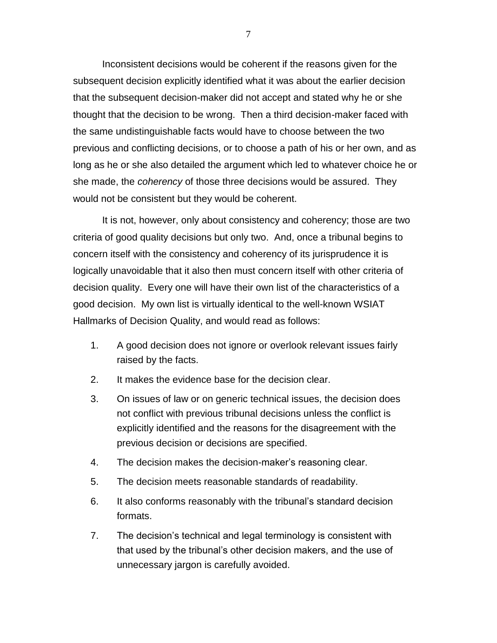Inconsistent decisions would be coherent if the reasons given for the subsequent decision explicitly identified what it was about the earlier decision that the subsequent decision-maker did not accept and stated why he or she thought that the decision to be wrong. Then a third decision-maker faced with the same undistinguishable facts would have to choose between the two previous and conflicting decisions, or to choose a path of his or her own, and as long as he or she also detailed the argument which led to whatever choice he or she made, the *coherency* of those three decisions would be assured. They would not be consistent but they would be coherent.

It is not, however, only about consistency and coherency; those are two criteria of good quality decisions but only two. And, once a tribunal begins to concern itself with the consistency and coherency of its jurisprudence it is logically unavoidable that it also then must concern itself with other criteria of decision quality. Every one will have their own list of the characteristics of a good decision. My own list is virtually identical to the well-known WSIAT Hallmarks of Decision Quality, and would read as follows:

- 1. A good decision does not ignore or overlook relevant issues fairly raised by the facts.
- 2. It makes the evidence base for the decision clear.
- 3. On issues of law or on generic technical issues, the decision does not conflict with previous tribunal decisions unless the conflict is explicitly identified and the reasons for the disagreement with the previous decision or decisions are specified.
- 4. The decision makes the decision-maker's reasoning clear.
- 5. The decision meets reasonable standards of readability.
- 6. It also conforms reasonably with the tribunal's standard decision formats.
- 7. The decision's technical and legal terminology is consistent with that used by the tribunal's other decision makers, and the use of unnecessary jargon is carefully avoided.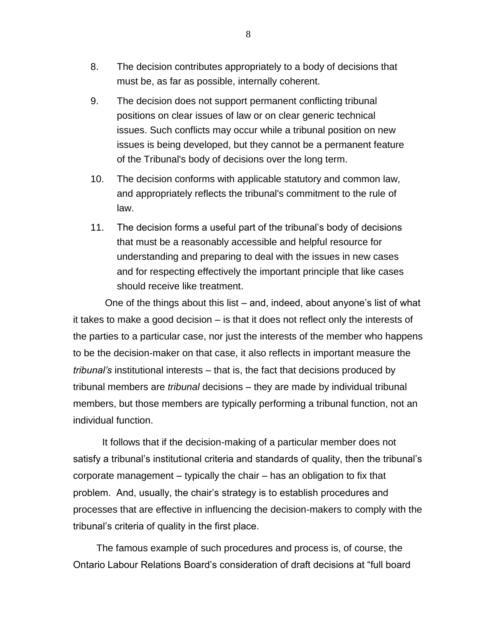- 8. The decision contributes appropriately to a body of decisions that must be, as far as possible, internally coherent.
- 9. The decision does not support permanent conflicting tribunal positions on clear issues of law or on clear generic technical issues. Such conflicts may occur while a tribunal position on new issues is being developed, but they cannot be a permanent feature of the Tribunal's body of decisions over the long term.
- 10. The decision conforms with applicable statutory and common law, and appropriately reflects the tribunal's commitment to the rule of law.
- 11. The decision forms a useful part of the tribunal's body of decisions that must be a reasonably accessible and helpful resource for understanding and preparing to deal with the issues in new cases and for respecting effectively the important principle that like cases should receive like treatment.

One of the things about this list – and, indeed, about anyone's list of what it takes to make a good decision – is that it does not reflect only the interests of the parties to a particular case, nor just the interests of the member who happens to be the decision-maker on that case, it also reflects in important measure the *tribunal's* institutional interests – that is, the fact that decisions produced by tribunal members are *tribunal* decisions – they are made by individual tribunal members, but those members are typically performing a tribunal function, not an individual function.

It follows that if the decision-making of a particular member does not satisfy a tribunal's institutional criteria and standards of quality, then the tribunal's corporate management – typically the chair – has an obligation to fix that problem. And, usually, the chair's strategy is to establish procedures and processes that are effective in influencing the decision-makers to comply with the tribunal's criteria of quality in the first place.

The famous example of such procedures and process is, of course, the Ontario Labour Relations Board's consideration of draft decisions at "full board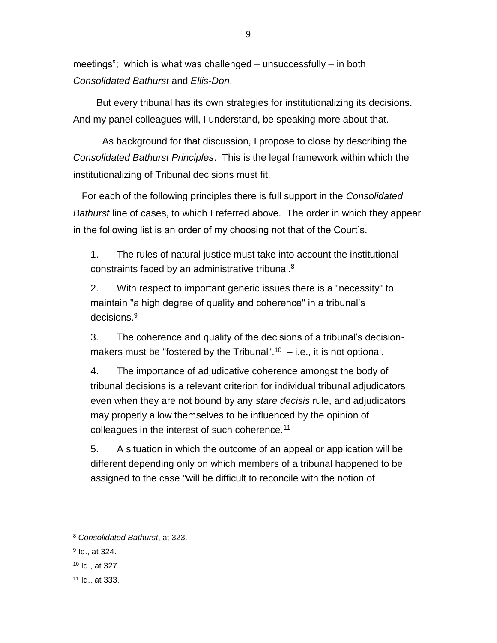meetings"; which is what was challenged – unsuccessfully – in both *Consolidated Bathurst* and *Ellis-Don*.

But every tribunal has its own strategies for institutionalizing its decisions. And my panel colleagues will, I understand, be speaking more about that.

As background for that discussion, I propose to close by describing the *Consolidated Bathurst Principles*. This is the legal framework within which the institutionalizing of Tribunal decisions must fit.

For each of the following principles there is full support in the *Consolidated Bathurst* line of cases, to which I referred above. The order in which they appear in the following list is an order of my choosing not that of the Court's.

1. The rules of natural justice must take into account the institutional constraints faced by an administrative tribunal.<sup>8</sup>

2. With respect to important generic issues there is a "necessity" to maintain "a high degree of quality and coherence" in a tribunal's decisions.<sup>9</sup>

3. The coherence and quality of the decisions of a tribunal's decisionmakers must be "fostered by the Tribunal".<sup>10</sup>  $-$  i.e., it is not optional.

4. The importance of adjudicative coherence amongst the body of tribunal decisions is a relevant criterion for individual tribunal adjudicators even when they are not bound by any *stare decisis* rule, and adjudicators may properly allow themselves to be influenced by the opinion of colleagues in the interest of such coherence.<sup>11</sup>

5. A situation in which the outcome of an appeal or application will be different depending only on which members of a tribunal happened to be assigned to the case "will be difficult to reconcile with the notion of

 $\overline{a}$ 

<sup>11</sup> Id., at 333.

<sup>8</sup> *Consolidated Bathurst*, at 323.

<sup>9</sup> Id., at 324.

<sup>10</sup> Id., at 327.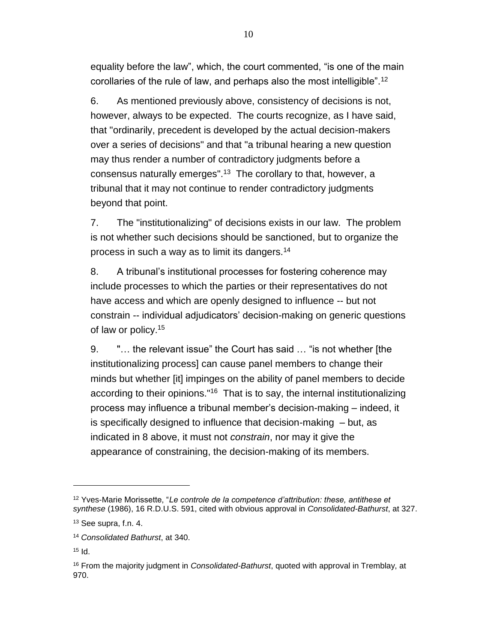equality before the law", which, the court commented, "is one of the main corollaries of the rule of law, and perhaps also the most intelligible".<sup>12</sup>

6. As mentioned previously above, consistency of decisions is not, however, always to be expected. The courts recognize, as I have said, that "ordinarily, precedent is developed by the actual decision-makers over a series of decisions" and that "a tribunal hearing a new question may thus render a number of contradictory judgments before a consensus naturally emerges".<sup>13</sup> The corollary to that, however, a tribunal that it may not continue to render contradictory judgments beyond that point.

7. The "institutionalizing" of decisions exists in our law. The problem is not whether such decisions should be sanctioned, but to organize the process in such a way as to limit its dangers.<sup>14</sup>

8. A tribunal's institutional processes for fostering coherence may include processes to which the parties or their representatives do not have access and which are openly designed to influence -- but not constrain -- individual adjudicators' decision-making on generic questions of law or policy.<sup>15</sup>

9. "… the relevant issue" the Court has said … "is not whether [the institutionalizing process] can cause panel members to change their minds but whether [it] impinges on the ability of panel members to decide according to their opinions."<sup>16</sup> That is to say, the internal institutionalizing process may influence a tribunal member's decision-making – indeed, it is specifically designed to influence that decision-making – but, as indicated in 8 above, it must not *constrain*, nor may it give the appearance of constraining, the decision-making of its members.

 $\overline{a}$ 

<sup>12</sup> Yves-Marie Morissette, "*Le controle de la competence d'attribution: these, antithese et synthese* (1986), 16 R.D.U.S. 591, cited with obvious approval in *Consolidated-Bathurst*, at 327.

<sup>13</sup> See supra, f.n. 4.

<sup>14</sup> *Consolidated Bathurst*, at 340.

 $15$  Id.

<sup>16</sup> From the majority judgment in *Consolidated-Bathurst*, quoted with approval in Tremblay, at 970.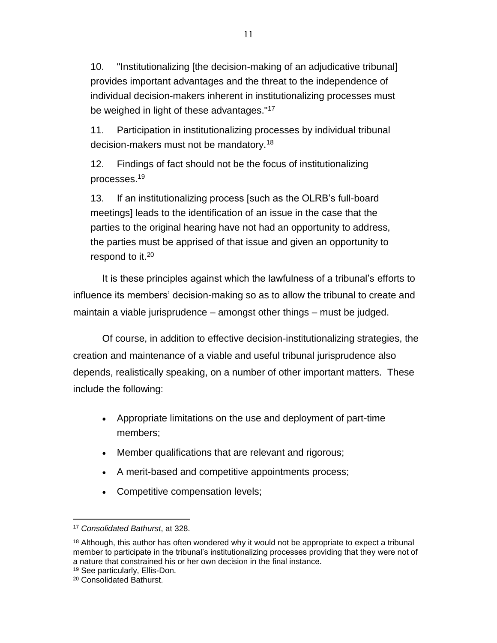10. "Institutionalizing [the decision-making of an adjudicative tribunal] provides important advantages and the threat to the independence of individual decision-makers inherent in institutionalizing processes must be weighed in light of these advantages."<sup>17</sup>

11. Participation in institutionalizing processes by individual tribunal decision-makers must not be mandatory.<sup>18</sup>

12. Findings of fact should not be the focus of institutionalizing processes.<sup>19</sup>

13. If an institutionalizing process [such as the OLRB's full-board meetings] leads to the identification of an issue in the case that the parties to the original hearing have not had an opportunity to address, the parties must be apprised of that issue and given an opportunity to respond to it.<sup>20</sup>

It is these principles against which the lawfulness of a tribunal's efforts to influence its members' decision-making so as to allow the tribunal to create and maintain a viable jurisprudence – amongst other things – must be judged.

Of course, in addition to effective decision-institutionalizing strategies, the creation and maintenance of a viable and useful tribunal jurisprudence also depends, realistically speaking, on a number of other important matters. These include the following:

- Appropriate limitations on the use and deployment of part-time members;
- Member qualifications that are relevant and rigorous;
- A merit-based and competitive appointments process;
- Competitive compensation levels;

 $\overline{a}$ <sup>17</sup> *Consolidated Bathurst*, at 328.

 $18$  Although, this author has often wondered why it would not be appropriate to expect a tribunal member to participate in the tribunal's institutionalizing processes providing that they were not of a nature that constrained his or her own decision in the final instance.

<sup>19</sup> See particularly, Ellis-Don.

<sup>20</sup> Consolidated Bathurst.